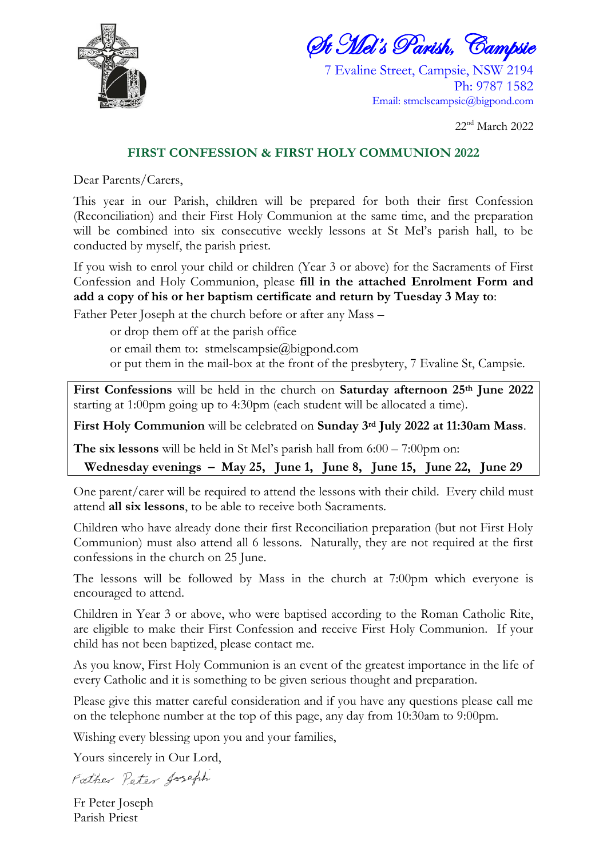

St Mel's Parish, Campsie

7 Evaline Street, Campsie, NSW 2194 Ph: 9787 1582 Email: [stmelscampsie@bigpond.com](mailto:stmelscampsie@bigpond.com)

22 nd March 2022

## **FIRST CONFESSION & FIRST HOLY COMMUNION 2022**

Dear Parents/Carers,

This year in our Parish, children will be prepared for both their first Confession (Reconciliation) and their First Holy Communion at the same time, and the preparation will be combined into six consecutive weekly lessons at St Mel's parish hall, to be conducted by myself, the parish priest.

If you wish to enrol your child or children (Year 3 or above) for the Sacraments of First Confession and Holy Communion, please **fill in the attached Enrolment Form and add a copy of his or her baptism certificate and return by Tuesday 3 May to**:

Father Peter Joseph at the church before or after any Mass –

or drop them off at the parish office

or email them to: [stmelscampsie@bigpond.com](mailto:stmelscampsie@bigpond.com)

or put them in the mail-box at the front of the presbytery, 7 Evaline St, Campsie.

**First Confessions** will be held in the church on **Saturday afternoon 25th June 2022** starting at 1:00pm going up to 4:30pm (each student will be allocated a time).

**First Holy Communion** will be celebrated on **Sunday 3rd July 2022 at 11:30am Mass**.

**The six lessons** will be held in St Mel's parish hall from 6:00 – 7:00pm on:

**Wednesday evenings – May 25, June 1, June 8, June 15, June 22, June 29**

One parent/carer will be required to attend the lessons with their child. Every child must attend **all six lessons**, to be able to receive both Sacraments.

Children who have already done their first Reconciliation preparation (but not First Holy Communion) must also attend all 6 lessons. Naturally, they are not required at the first confessions in the church on 25 June.

The lessons will be followed by Mass in the church at 7:00pm which everyone is encouraged to attend.

Children in Year 3 or above, who were baptised according to the Roman Catholic Rite, are eligible to make their First Confession and receive First Holy Communion. If your child has not been baptized, please contact me.

As you know, First Holy Communion is an event of the greatest importance in the life of every Catholic and it is something to be given serious thought and preparation.

Please give this matter careful consideration and if you have any questions please call me on the telephone number at the top of this page, any day from 10:30am to 9:00pm.

Wishing every blessing upon you and your families,

Yours sincerely in Our Lord,

Father Peter Joseph

Fr Peter Joseph Parish Priest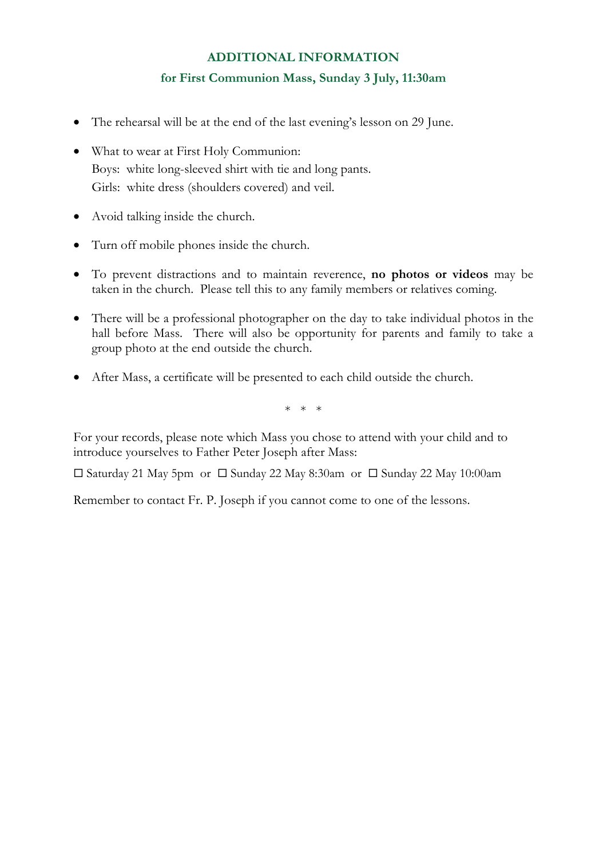## **ADDITIONAL INFORMATION for First Communion Mass, Sunday 3 July, 11:30am**

- The rehearsal will be at the end of the last evening's lesson on 29 June.
- What to wear at First Holy Communion: Boys: white long-sleeved shirt with tie and long pants. Girls: white dress (shoulders covered) and veil.
- Avoid talking inside the church.
- Turn off mobile phones inside the church.
- To prevent distractions and to maintain reverence, **no photos or videos** may be taken in the church. Please tell this to any family members or relatives coming.
- There will be a professional photographer on the day to take individual photos in the hall before Mass. There will also be opportunity for parents and family to take a group photo at the end outside the church.
- After Mass, a certificate will be presented to each child outside the church.

\* \* \*

For your records, please note which Mass you chose to attend with your child and to introduce yourselves to Father Peter Joseph after Mass:

 $\square$  Saturday 21 May 5pm or  $\square$  Sunday 22 May 8:30am or  $\square$  Sunday 22 May 10:00am

Remember to contact Fr. P. Joseph if you cannot come to one of the lessons.